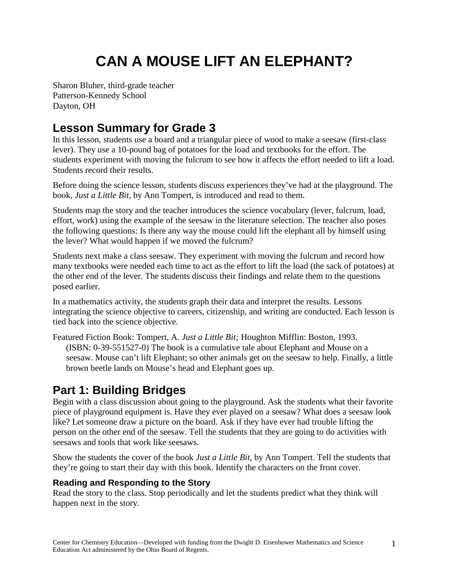# **CAN A MOUSE LIFT AN ELEPHANT?**

Sharon Bluher, third-grade teacher Patterson-Kennedy School Dayton, OH

# **Lesson Summary for Grade 3**

In this lesson, students use a board and a triangular piece of wood to make a seesaw (first-class lever). They use a 10-pound bag of potatoes for the load and textbooks for the effort. The students experiment with moving the fulcrum to see how it affects the effort needed to lift a load. Students record their results.

Before doing the science lesson, students discuss experiences they've had at the playground. The book, *Just a Little Bit,* by Ann Tompert, is introduced and read to them.

Students map the story and the teacher introduces the science vocabulary (lever, fulcrum, load, effort, work) using the example of the seesaw in the literature selection. The teacher also poses the following questions: Is there any way the mouse could lift the elephant all by himself using the lever? What would happen if we moved the fulcrum?

Students next make a class seesaw. They experiment with moving the fulcrum and record how many textbooks were needed each time to act as the effort to lift the load (the sack of potatoes) at the other end of the lever. The students discuss their findings and relate them to the questions posed earlier.

In a mathematics activity, the students graph their data and interpret the results. Lessons integrating the science objective to careers, citizenship, and writing are conducted. Each lesson is tied back into the science objective.

Featured Fiction Book: Tompert, A. *Just a Little Bit;* Houghton Mifflin: Boston, 1993. (ISBN: 0-39-551527-0) The book is a cumulative tale about Elephant and Mouse on a seesaw. Mouse can't lift Elephant; so other animals get on the seesaw to help. Finally, a little brown beetle lands on Mouse's head and Elephant goes up.

# **Part 1: Building Bridges**

Begin with a class discussion about going to the playground. Ask the students what their favorite piece of playground equipment is. Have they ever played on a seesaw? What does a seesaw look like? Let someone draw a picture on the board. Ask if they have ever had trouble lifting the person on the other end of the seesaw. Tell the students that they are going to do activities with seesaws and tools that work like seesaws.

Show the students the cover of the book *Just a Little Bit,* by Ann Tompert. Tell the students that they're going to start their day with this book. Identify the characters on the front cover.

#### **Reading and Responding to the Story**

Read the story to the class. Stop periodically and let the students predict what they think will happen next in the story.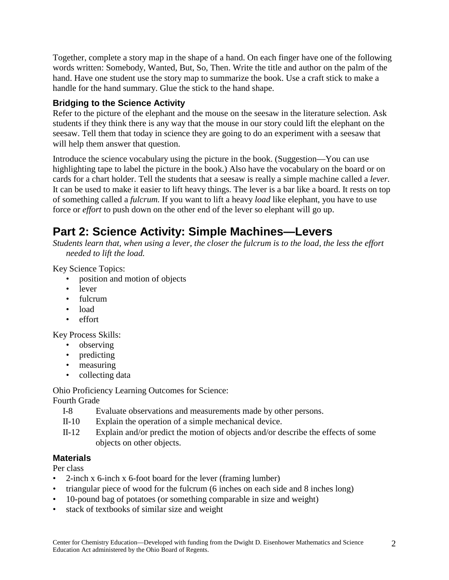Together, complete a story map in the shape of a hand. On each finger have one of the following words written: Somebody, Wanted, But, So, Then. Write the title and author on the palm of the hand. Have one student use the story map to summarize the book. Use a craft stick to make a handle for the hand summary. Glue the stick to the hand shape.

#### **Bridging to the Science Activity**

Refer to the picture of the elephant and the mouse on the seesaw in the literature selection. Ask students if they think there is any way that the mouse in our story could lift the elephant on the seesaw. Tell them that today in science they are going to do an experiment with a seesaw that will help them answer that question.

Introduce the science vocabulary using the picture in the book. (Suggestion—You can use highlighting tape to label the picture in the book.) Also have the vocabulary on the board or on cards for a chart holder. Tell the students that a seesaw is really a simple machine called a *lever.* It can be used to make it easier to lift heavy things. The lever is a bar like a board. It rests on top of something called a *fulcrum.* If you want to lift a heavy *load* like elephant, you have to use force or *effort* to push down on the other end of the lever so elephant will go up.

# **Part 2: Science Activity: Simple Machines—Levers**

*Students learn that, when using a lever, the closer the fulcrum is to the load, the less the effort needed to lift the load.* 

Key Science Topics:

- position and motion of objects
- lever
- fulcrum
- load
- effort

Key Process Skills:

- observing
- predicting
- measuring
- collecting data

Ohio Proficiency Learning Outcomes for Science:

Fourth Grade

- I-8 Evaluate observations and measurements made by other persons.
- II-10 Explain the operation of a simple mechanical device.
- II-12 Explain and/or predict the motion of objects and/or describe the effects of some objects on other objects.

#### **Materials**

Per class

- 2-inch x 6-inch x 6-foot board for the lever (framing lumber)
- triangular piece of wood for the fulcrum (6 inches on each side and 8 inches long)
- 10-pound bag of potatoes (or something comparable in size and weight)
- stack of textbooks of similar size and weight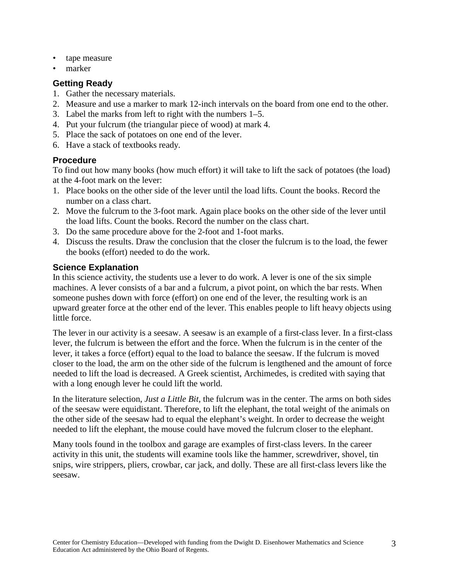- tape measure
- marker

#### **Getting Ready**

- 1. Gather the necessary materials.
- 2. Measure and use a marker to mark 12-inch intervals on the board from one end to the other.
- 3. Label the marks from left to right with the numbers 1–5.
- 4. Put your fulcrum (the triangular piece of wood) at mark 4.
- 5. Place the sack of potatoes on one end of the lever.
- 6. Have a stack of textbooks ready.

#### **Procedure**

To find out how many books (how much effort) it will take to lift the sack of potatoes (the load) at the 4-foot mark on the lever:

- 1. Place books on the other side of the lever until the load lifts. Count the books. Record the number on a class chart.
- 2. Move the fulcrum to the 3-foot mark. Again place books on the other side of the lever until the load lifts. Count the books. Record the number on the class chart.
- 3. Do the same procedure above for the 2-foot and 1-foot marks.
- 4. Discuss the results. Draw the conclusion that the closer the fulcrum is to the load, the fewer the books (effort) needed to do the work.

#### **Science Explanation**

In this science activity, the students use a lever to do work. A lever is one of the six simple machines. A lever consists of a bar and a fulcrum, a pivot point, on which the bar rests. When someone pushes down with force (effort) on one end of the lever, the resulting work is an upward greater force at the other end of the lever. This enables people to lift heavy objects using little force.

The lever in our activity is a seesaw. A seesaw is an example of a first-class lever. In a first-class lever, the fulcrum is between the effort and the force. When the fulcrum is in the center of the lever, it takes a force (effort) equal to the load to balance the seesaw. If the fulcrum is moved closer to the load, the arm on the other side of the fulcrum is lengthened and the amount of force needed to lift the load is decreased. A Greek scientist, Archimedes, is credited with saying that with a long enough lever he could lift the world.

In the literature selection, *Just a Little Bit,* the fulcrum was in the center. The arms on both sides of the seesaw were equidistant. Therefore, to lift the elephant, the total weight of the animals on the other side of the seesaw had to equal the elephant's weight. In order to decrease the weight needed to lift the elephant, the mouse could have moved the fulcrum closer to the elephant.

Many tools found in the toolbox and garage are examples of first-class levers. In the career activity in this unit, the students will examine tools like the hammer, screwdriver, shovel, tin snips, wire strippers, pliers, crowbar, car jack, and dolly. These are all first-class levers like the seesaw.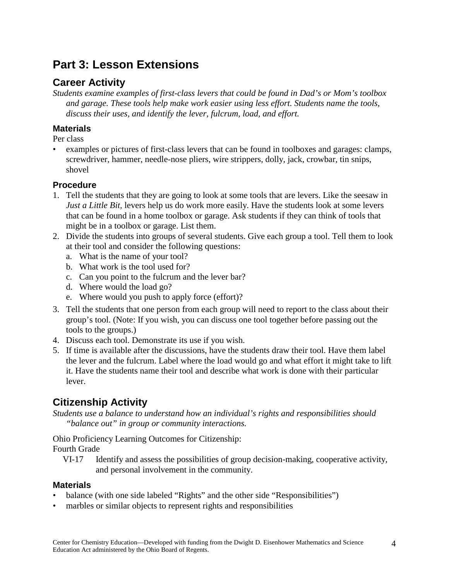# **Part 3: Lesson Extensions**

### **Career Activity**

*Students examine examples of first-class levers that could be found in Dad's or Mom's toolbox and garage. These tools help make work easier using less effort. Students name the tools, discuss their uses, and identify the lever, fulcrum, load, and effort.*

#### **Materials**

Per class

• examples or pictures of first-class levers that can be found in toolboxes and garages: clamps, screwdriver, hammer, needle-nose pliers, wire strippers, dolly, jack, crowbar, tin snips, shovel

#### **Procedure**

- 1. Tell the students that they are going to look at some tools that are levers. Like the seesaw in *Just a Little Bit,* levers help us do work more easily. Have the students look at some levers that can be found in a home toolbox or garage. Ask students if they can think of tools that might be in a toolbox or garage. List them.
- 2. Divide the students into groups of several students. Give each group a tool. Tell them to look at their tool and consider the following questions:
	- a. What is the name of your tool?
	- b. What work is the tool used for?
	- c. Can you point to the fulcrum and the lever bar?
	- d. Where would the load go?
	- e. Where would you push to apply force (effort)?
- 3. Tell the students that one person from each group will need to report to the class about their group's tool. (Note: If you wish, you can discuss one tool together before passing out the tools to the groups.)
- 4. Discuss each tool. Demonstrate its use if you wish.
- 5. If time is available after the discussions, have the students draw their tool. Have them label the lever and the fulcrum. Label where the load would go and what effort it might take to lift it. Have the students name their tool and describe what work is done with their particular lever.

### **Citizenship Activity**

*Students use a balance to understand how an individual's rights and responsibilities should "balance out" in group or community interactions.* 

Ohio Proficiency Learning Outcomes for Citizenship:

Fourth Grade

VI-17 Identify and assess the possibilities of group decision-making, cooperative activity, and personal involvement in the community.

#### **Materials**

- balance (with one side labeled "Rights" and the other side "Responsibilities")
- marbles or similar objects to represent rights and responsibilities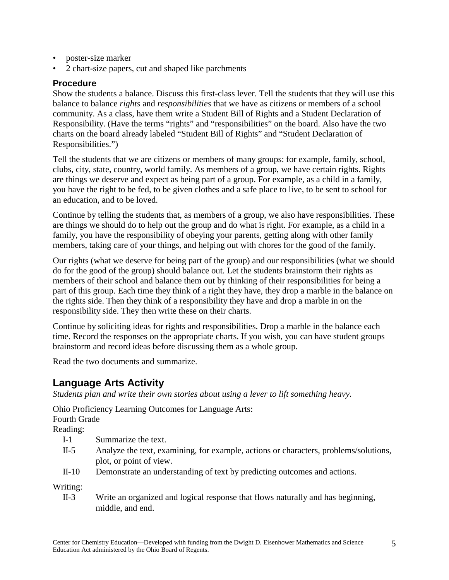- poster-size marker
- 2 chart-size papers, cut and shaped like parchments

#### **Procedure**

Show the students a balance. Discuss this first-class lever. Tell the students that they will use this balance to balance *rights* and *responsibilities* that we have as citizens or members of a school community. As a class, have them write a Student Bill of Rights and a Student Declaration of Responsibility. (Have the terms "rights" and "responsibilities" on the board. Also have the two charts on the board already labeled "Student Bill of Rights" and "Student Declaration of Responsibilities.")

Tell the students that we are citizens or members of many groups: for example, family, school, clubs, city, state, country, world family. As members of a group, we have certain rights. Rights are things we deserve and expect as being part of a group. For example, as a child in a family, you have the right to be fed, to be given clothes and a safe place to live, to be sent to school for an education, and to be loved.

Continue by telling the students that, as members of a group, we also have responsibilities. These are things we should do to help out the group and do what is right. For example, as a child in a family, you have the responsibility of obeying your parents, getting along with other family members, taking care of your things, and helping out with chores for the good of the family.

Our rights (what we deserve for being part of the group) and our responsibilities (what we should do for the good of the group) should balance out. Let the students brainstorm their rights as members of their school and balance them out by thinking of their responsibilities for being a part of this group. Each time they think of a right they have, they drop a marble in the balance on the rights side. Then they think of a responsibility they have and drop a marble in on the responsibility side. They then write these on their charts.

Continue by soliciting ideas for rights and responsibilities. Drop a marble in the balance each time. Record the responses on the appropriate charts. If you wish, you can have student groups brainstorm and record ideas before discussing them as a whole group.

Read the two documents and summarize.

### **Language Arts Activity**

*Students plan and write their own stories about using a lever to lift something heavy.* 

Ohio Proficiency Learning Outcomes for Language Arts: Fourth Grade

Reading:

- I-1 Summarize the text.
- II-5 Analyze the text, examining, for example, actions or characters, problems/solutions, plot, or point of view.
- II-10 Demonstrate an understanding of text by predicting outcomes and actions.

Writing:

II-3 Write an organized and logical response that flows naturally and has beginning, middle, and end.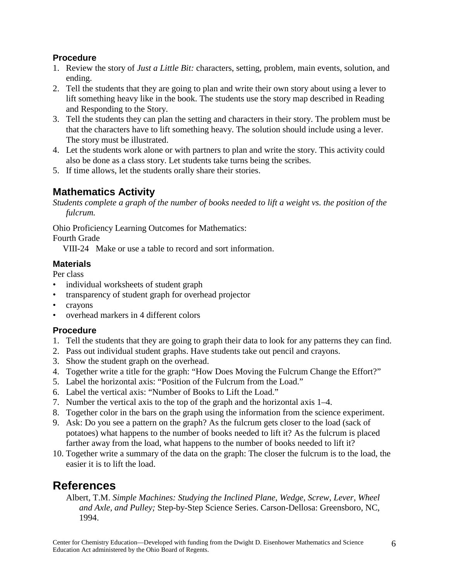#### **Procedure**

- 1. Review the story of *Just a Little Bit:* characters, setting, problem, main events, solution, and ending.
- 2. Tell the students that they are going to plan and write their own story about using a lever to lift something heavy like in the book. The students use the story map described in Reading and Responding to the Story.
- 3. Tell the students they can plan the setting and characters in their story. The problem must be that the characters have to lift something heavy. The solution should include using a lever. The story must be illustrated.
- 4. Let the students work alone or with partners to plan and write the story. This activity could also be done as a class story. Let students take turns being the scribes.
- 5. If time allows, let the students orally share their stories.

### **Mathematics Activity**

*Students complete a graph of the number of books needed to lift a weight vs. the position of the fulcrum.* 

Ohio Proficiency Learning Outcomes for Mathematics:

Fourth Grade

VIII-24 Make or use a table to record and sort information.

#### **Materials**

Per class

- individual worksheets of student graph
- transparency of student graph for overhead projector
- crayons
- overhead markers in 4 different colors

#### **Procedure**

- 1. Tell the students that they are going to graph their data to look for any patterns they can find.
- 2. Pass out individual student graphs. Have students take out pencil and crayons.
- 3. Show the student graph on the overhead.
- 4. Together write a title for the graph: "How Does Moving the Fulcrum Change the Effort?"
- 5. Label the horizontal axis: "Position of the Fulcrum from the Load."
- 6. Label the vertical axis: "Number of Books to Lift the Load."
- 7. Number the vertical axis to the top of the graph and the horizontal axis 1–4.
- 8. Together color in the bars on the graph using the information from the science experiment.
- 9. Ask: Do you see a pattern on the graph? As the fulcrum gets closer to the load (sack of potatoes) what happens to the number of books needed to lift it? As the fulcrum is placed farther away from the load, what happens to the number of books needed to lift it?
- 10. Together write a summary of the data on the graph: The closer the fulcrum is to the load, the easier it is to lift the load.

# **References**

Albert, T.M. *Simple Machines: Studying the Inclined Plane, Wedge, Screw, Lever, Wheel and Axle, and Pulley;* Step-by-Step Science Series. Carson-Dellosa: Greensboro, NC, 1994.